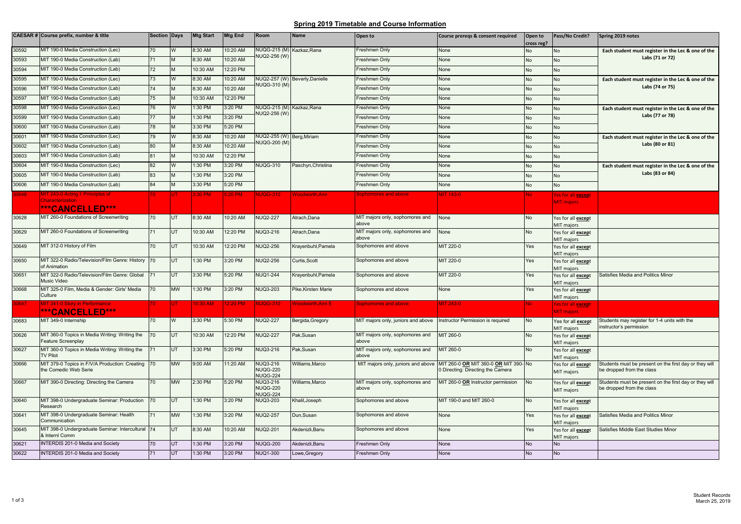## **Spring 2019 Timetable and Course Information**

|       | CAESAR # Course prefix, number & title                                  | Section Days |           | <b>Mtg Start</b> | <b>Mtg End</b> | Room                                                  | <b>Name</b>                    | Open to                                  | Course preregs & consent required                                                                             | Open to<br>cross reg? | Pass/No Credit?                         | Spring 2019 notes                                                                   |
|-------|-------------------------------------------------------------------------|--------------|-----------|------------------|----------------|-------------------------------------------------------|--------------------------------|------------------------------------------|---------------------------------------------------------------------------------------------------------------|-----------------------|-----------------------------------------|-------------------------------------------------------------------------------------|
| 30592 | <b>MIT 190-0 Media Construction (Lec)</b>                               | 70           | W         | 3:30 AM          | 10:20 AM       | NUQG-215 (M) Kazkaz, Rana<br>NUQ2-256 (W)             |                                | Freshmen Only                            | None                                                                                                          | No                    | No                                      | Each student must register in the Lec & one of the                                  |
| 30593 | MIT 190-0 Media Construction (Lab)                                      | 71           | M         | 8:30 AM          | 10:20 AM       |                                                       |                                | Freshmen Only                            | None                                                                                                          | No                    | No                                      | Labs (71 or 72)                                                                     |
| 30594 | MIT 190-0 Media Construction (Lab)                                      | 72           | M         | 10:30 AM         | 12:20 PM       |                                                       |                                | Freshmen Only                            | None                                                                                                          | No                    | No                                      |                                                                                     |
| 30595 | <b>MIT 190-0 Media Construction (Lec)</b>                               | 73           | W         | 3:30 AM          | 10:20 AM       | NUQG-310 (M)                                          | NUQ2-257 (W) Beverly, Danielle | Freshmen Only                            | None                                                                                                          | No                    | No                                      | Each student must register in the Lec & one of the<br>Labs (74 or 75)               |
| 30596 | MIT 190-0 Media Construction (Lab)                                      | 74           | M         | 8:30 AM          | 10:20 AM       |                                                       |                                | Freshmen Only                            | None                                                                                                          | No                    | No                                      |                                                                                     |
| 30597 | MIT 190-0 Media Construction (Lab)                                      | 75           | м         | 10:30 AM         | 12:20 PM       |                                                       |                                | Freshmen Only                            | None                                                                                                          | No                    | No                                      |                                                                                     |
| 30598 | <b>MIT 190-0 Media Construction (Lec)</b>                               | 76           | W         | :30 PM           | 3:20 PM        | NUQG-215 (M) Kazkaz, Rana                             |                                | Freshmen Only                            | None                                                                                                          | No                    | No                                      | Each student must register in the Lec & one of the                                  |
| 30599 | MIT 190-0 Media Construction (Lab)                                      | 77           | M         | 1:30 PM          | 3:20 PM        | NUQ2-256 (W)                                          |                                | Freshmen Only                            | None                                                                                                          | No                    | No                                      | Labs (77 or 78)                                                                     |
| 30600 | MIT 190-0 Media Construction (Lab)                                      | 78           | M         | 3:30 PM          | 5:20 PM        |                                                       |                                | Freshmen Only                            | None                                                                                                          | No                    | No                                      |                                                                                     |
| 30601 | MIT 190-0 Media Construction (Lec)                                      | 79           | W         | 8:30 AM          | 10:20 AM       | NUQ2-255 (W) Berg, Miriam<br>NUQG-200 (M)             |                                | Freshmen Only                            | None                                                                                                          | No                    | No                                      | Each student must register in the Lec & one of the<br>Labs (80 or 81)               |
| 30602 | MIT 190-0 Media Construction (Lab)                                      | 80           | M         | 8:30 AM          | 10:20 AM       |                                                       |                                | Freshmen Only                            | None                                                                                                          | No                    | No                                      |                                                                                     |
| 30603 | MIT 190-0 Media Construction (Lab)                                      | 81           | M         | 10:30 AM         | 12:20 PM       |                                                       |                                | Freshmen Only                            | None                                                                                                          | No                    | No                                      |                                                                                     |
| 30604 | MIT 190-0 Media Construction (Lec)                                      | 82           | W         | 1:30 PM          | 3:20 PM        | <b>NUQG-310</b>                                       | Paschyn, Christina             | Freshmen Only                            | None                                                                                                          | No                    | No.                                     | Each student must register in the Lec & one of the                                  |
| 30605 | <b>MIT 190-0 Media Construction (Lab)</b>                               | 83           | M         | :30 PM           | 3:20 PM        |                                                       |                                | Freshmen Only                            | None                                                                                                          | No                    | No                                      | Labs (83 or 84)                                                                     |
| 30606 | <b>MIT 190-0 Media Construction (Lab)</b>                               | 84           | M         | 3:30 PM          | 5:20 PM        |                                                       |                                | Freshmen Only                            | None                                                                                                          | No                    | No                                      |                                                                                     |
| 648   | <b>AIT 243-0 Acting I: Principles of</b>                                |              |           | :30 PM           | <b>6:20 PM</b> | <b>NUQG-310</b>                                       | <b>Noodworth, Ann</b>          | Sophomores and above                     | IT 143-0                                                                                                      |                       | Yes for all except                      |                                                                                     |
|       | <b>Characterization</b>                                                 |              |           |                  |                |                                                       |                                |                                          |                                                                                                               |                       | <b>MIT majors</b>                       |                                                                                     |
|       | ***CANCELLED***                                                         |              |           |                  |                |                                                       |                                |                                          |                                                                                                               |                       |                                         |                                                                                     |
| 30628 | MIT 260-0 Foundations of Screenwriting                                  | 70           | UT.       | 8:30 AM          | 10:20 AM       | <b>NUQ2-227</b>                                       | Atrach.Dana                    | MIT majors only, sophomores and<br>above | None                                                                                                          | <b>No</b>             | Yes for all <b>except</b><br>MIT majors |                                                                                     |
| 30629 | MIT 260-0 Foundations of Screenwriting                                  | 71           | UT.       | 10:30 AM         | 12:20 PM       | NUQ3-216                                              | Atrach.Dana                    | MIT majors only, sophomores and<br>above | None                                                                                                          | <b>No</b>             | Yes for all except<br>MIT majors        |                                                                                     |
| 30649 | MIT 312-0 History of Film                                               | 70           | UT.       | 10:30 AM         | 12:20 PM       | NUQ2-256                                              | Krayenbuhl, Pamela             | Sophomores and above                     | MIT 220-0                                                                                                     | Yes                   | Yes for all except<br>MIT majors        |                                                                                     |
| 30650 | MIT 322-0 Radio/Television/Film Genre: History<br>of Animation          | 170          | UT.       | 1:30 PM          | 3:20 PM        | <b>NUQ2-256</b>                                       | Curtis.Scott                   | Sophomores and above                     | MIT 220-0                                                                                                     | Yes                   | Yes for all except<br>MIT majors        |                                                                                     |
| 30651 | MIT 322-0 Radio/Television/Film Genre: Global<br>Music Video            |              | <b>UT</b> | 3:30 PM          | 5:20 PM        | <b>NUQ1-244</b>                                       | Krayenbuhl, Pamela             | Sophomores and above                     | MIT 220-0                                                                                                     | Yes                   | Yes for all <b>except</b><br>MIT majors | Satisfies Media and Politics Minor                                                  |
| 30668 | MIT 325-0 Film, Media & Gender: Girls' Media<br>Culture                 | 70           | <b>MW</b> | 1:30 PM          | 3:20 PM        | <b>NUQ3-203</b>                                       | Pike.Kirsten Marie             | Sophomores and above                     | None                                                                                                          | Yes                   | Yes for all except<br>MIT majors        |                                                                                     |
| 647   | <b>11T 341-0 Story in Performance</b><br>***CANCELLED***                |              | ПT        | 0:30 AM          | 2:20 PM        | <b>NUQG-310</b>                                       | Voodworth.Ann E                | Sophomores and above                     | <b>IT 243-0</b>                                                                                               |                       | Yes for all except<br><b>MIT majors</b> |                                                                                     |
| 30683 | MIT 349-0 Internship                                                    | 70           | W         | 3:30 PM          | 5:30 PM        | <b>NUQ2-227</b>                                       | Bergida, Gregory               | MIT majors only, juniors and above       | Instructor Permission is required                                                                             | <b>No</b>             | Yes for all except                      | Students may register for 1-4 units with the                                        |
|       |                                                                         |              |           |                  |                |                                                       |                                |                                          |                                                                                                               |                       | MIT majors                              | instructor's permission                                                             |
| 30626 | MIT 360-0 Topics in Media Writing: Writing the<br>Feature Screenplay    | 70           | UT        | 10:30 AM         | 12:20 PM       | <b>NUQ2-227</b>                                       | Pak.Susan                      | MIT majors only, sophomores and<br>above | MIT 260-0                                                                                                     | <b>No</b>             | Yes for all except<br>MIT majors        |                                                                                     |
| 30627 | MIT 360-0 Topics in Media Writing: Writing the<br><b>TV Pilot</b>       | 71           | UT.       | 3:30 PM          | 5:20 PM        | NUQ3-216                                              | Pak.Susan                      | MIT majors only, sophomores and<br>above | MIT 260-0                                                                                                     | <b>No</b>             | res for all <b>except</b><br>MIT majors |                                                                                     |
| 30666 | MIT 379-0 Topics in F/V/A Production: Creating<br>the Comedic Web Serie | 70           | <b>MW</b> | 9:00 AM          | 11:20 AM       | <b>NUQ3-216</b><br><b>NUQG-220</b><br><b>NUQG-224</b> | Williams.Marco                 |                                          | MIT majors only, juniors and above MIT 260-0 OR MIT 360-0 OR MIT 390- No<br>0 Directing: Directing the Camera |                       | Yes for all except<br>MIT majors        | Students must be present on the first day or they will<br>be dropped from the class |
| 30667 | MIT 390-0 Directing: Directing the Camera                               | 70           | <b>MW</b> | 2:30 PM          | 5:20 PM        | <b>NUQ3-216</b><br><b>NUQG-220</b><br><b>NUQG-224</b> | Williams, Marco                | MIT majors only, sophomores and<br>above | MIT 260-0 OR Instructor permission                                                                            | <b>No</b>             | Yes for all <b>except</b><br>MIT majors | Students must be present on the first day or they will<br>be dropped from the class |
| 30640 | MIT 398-0 Undergraduate Seminar: Production<br>Research                 | 70           | UT        | 1:30 PM          | 3:20 PM        | <b>NUQ3-203</b>                                       | Khalil, Joseph                 | Sophomores and above                     | MIT 190-0 and MIT 260-0                                                                                       | No                    | Yes for all except<br>MIT majors        |                                                                                     |
| 30641 | MIT 398-0 Undergraduate Seminar: Health<br>Communication                | 71           | <b>MW</b> | 1:30 PM          | 3:20 PM        | <b>NUQ2-257</b>                                       | Dun.Susan                      | Sophomores and above                     | None                                                                                                          | Yes                   | Yes for all <b>except</b><br>MIT majors | Satisfies Media and Politics Minor                                                  |
| 30645 | MIT 398-0 Undergraduate Seminar: Intercultural<br>& Internl Comm        | 74           | UT        | 8:30 AM          | 10:20 AM       | <b>NUQ2-201</b>                                       | Akdenizli, Banu                | Sophomores and above                     | None                                                                                                          | Yes                   | Yes for all <b>except</b><br>MIT majors | Satisfies Middle East Studies Minor                                                 |
| 30621 | NTERDIS 201-0 Media and Society                                         | 70           | UT.       | 1:30 PM          | 3:20 PM        | <b>NUQG-200</b>                                       | Akdenizli.Banu                 | Freshmen Only                            | None                                                                                                          | <b>No</b>             | No                                      |                                                                                     |
| 30622 | NTERDIS 201-0 Media and Society                                         |              | UT        | 1:30 PM          | 3:20 PM        | NUQ1-300                                              | Lowe, Gregory                  | Freshmen Only                            | None                                                                                                          | No                    | No                                      |                                                                                     |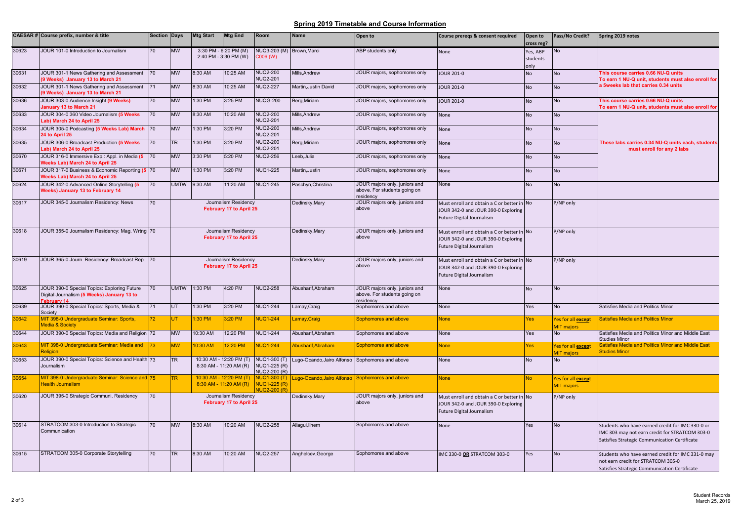## **Spring 2019 Timetable and Course Information**

|       | CAESAR # Course prefix, number & title                                                                  | <b>Section Days</b> |                                                 | <b>Mtg Start</b>                               | <b>Mtg End</b>                                  | Room                                                        | <b>Name</b>                                     | Open to                                                                   | Course prereqs & consent required                                                                                     | Open to<br>cross reg?        | Pass/No Credit?                         | Spring 2019 notes                                                                                                                                   |
|-------|---------------------------------------------------------------------------------------------------------|---------------------|-------------------------------------------------|------------------------------------------------|-------------------------------------------------|-------------------------------------------------------------|-------------------------------------------------|---------------------------------------------------------------------------|-----------------------------------------------------------------------------------------------------------------------|------------------------------|-----------------------------------------|-----------------------------------------------------------------------------------------------------------------------------------------------------|
| 30623 | JOUR 101-0 Introduction to Journalism                                                                   | 70                  | <b>MW</b>                                       | 3:30 PM - 6:20 PM (M)<br>2:40 PM - 3:30 PM (W) |                                                 | NUQ3-203 (M) Brown, Marci<br>C006 (W)                       |                                                 | ABP students only                                                         | None                                                                                                                  | Yes. ABP<br>students<br>ylnc | No                                      |                                                                                                                                                     |
| 30631 | JOUR 301-1 News Gathering and Assessment<br>9 Weeks) January 13 to March 21                             | 70                  | <b>MW</b>                                       | 8:30 AM                                        | 10:25 AM                                        | <b>NUQ2-200</b><br><b>NUQ2-201</b>                          | Mills, Andrew                                   | JOUR majors, sophomores only                                              | <b>JOUR 201-0</b>                                                                                                     | <b>No</b>                    | <b>No</b>                               | This course carries 0.66 NU-Q units<br>To earn 1 NU-Q unit, students must also enroll for                                                           |
| 30632 | JOUR 301-1 News Gathering and Assessment<br>9 Weeks) January 13 to March 21                             | 71                  | <b>MW</b>                                       | 8:30 AM                                        | 10:25 AM                                        | <b>NUQ2-227</b>                                             | Martin, Justin David                            | JOUR majors, sophomores only                                              | <b>JOUR 201-0</b>                                                                                                     | No                           | <b>No</b>                               | a 5weeks lab that carries 0.34 units                                                                                                                |
| 30636 | JOUR 303-0 Audience Insight (9 Weeks)<br>January 13 to March 21                                         | 70                  | <b>MW</b>                                       | :30 PM                                         | 3:25 PM                                         | <b>NUQG-200</b>                                             | Berg, Miriam                                    | JOUR majors, sophomores only                                              | <b>JOUR 201-0</b>                                                                                                     | No                           | No                                      | This course carries 0.66 NU-Q units<br>To earn 1 NU-Q unit, students must also enroll for                                                           |
| 30633 | JOUR 304-0 360 Video Journalism (5 Weeks<br>ab) March 24 to April 25                                    | 70                  | <b>MW</b>                                       | 8:30 AM                                        | 10:20 AM                                        | <b>NUQ2-200</b><br><b>NUQ2-201</b>                          | Mills.Andrew                                    | JOUR majors, sophomores only                                              | None                                                                                                                  | <b>No</b>                    | <b>No</b>                               |                                                                                                                                                     |
| 30634 | JOUR 305-0 Podcasting (5 Weeks Lab) March 70<br>24 to April 25                                          |                     | <b>MW</b>                                       | :30 PM                                         | 3:20 PM                                         | <b>NUQ2-200</b><br><b>NUQ2-201</b>                          | Mills.Andrew                                    | JOUR majors, sophomores only                                              | None                                                                                                                  | No                           | <b>No</b>                               |                                                                                                                                                     |
| 30635 | JOUR 306-0 Broadcast Production (5 Weeks<br>ab) March 24 to April 25                                    | 70                  | <b>TR</b>                                       | 1:30 PM                                        | 3:20 PM                                         | <b>NUQ2-200</b><br><b>NUQ2-201</b>                          | Berg, Miriam                                    | JOUR majors, sophomores only                                              | None                                                                                                                  | <b>No</b>                    | <b>No</b>                               | These labs carries 0.34 NU-Q units each, students<br>must enroll for any 2 labs                                                                     |
| 30670 | JOUR 316-0 Immersive Exp.: Appl. in Media (5 70<br><b>Neeks Lab) March 24 to April 25</b>               |                     | <b>MW</b>                                       | 3:30 PM                                        | 5:20 PM                                         | <b>NUQ2-256</b>                                             | Leeb,Julia                                      | JOUR majors, sophomores only                                              | None                                                                                                                  | No                           | <b>No</b>                               |                                                                                                                                                     |
| 30671 | JOUR 317-0 Business & Economic Reporting (5 70<br>Veeks Lab) March 24 to April 25                       |                     | <b>MW</b>                                       | 1:30 PM                                        | 3:20 PM                                         | <b>NUQ1-225</b>                                             | Martin, Justin                                  | JOUR majors, sophomores only                                              | None                                                                                                                  | <b>No</b>                    | <b>No</b>                               |                                                                                                                                                     |
| 30624 | JOUR 342-0 Advanced Online Storytelling (5<br><b>Weeks) January 13 to February 14</b>                   | 70                  | <b>UMTW</b>                                     | 9:30 AM                                        | 11:20 AM                                        | <b>NUQ1-245</b>                                             | Paschyn, Christina                              | JOUR majors only, juniors and<br>above. For students going on<br>esidency | None                                                                                                                  | No                           | <b>No</b>                               |                                                                                                                                                     |
| 30617 | JOUR 345-0 Journalism Residency: News                                                                   | 70                  |                                                 |                                                | Journalism Residency<br>February 17 to April 25 |                                                             | Dedinsky, Mary                                  | JOUR majors only, juniors and<br>above                                    | Must enroll and obtain a C or better in No<br>JOUR 342-0 and JOUR 390-0 Exploring<br>Future Digital Journalism        |                              | P/NP only                               |                                                                                                                                                     |
| 30618 | JOUR 355-0 Journalism Residency: Mag. Wrtng 70                                                          |                     |                                                 |                                                | Journalism Residency<br>February 17 to April 25 |                                                             | Dedinsky, Mary                                  | JOUR majors only, juniors and<br>above                                    | Must enroll and obtain a C or better in No<br>JOUR 342-0 and JOUR 390-0 Exploring<br><b>Future Digital Journalism</b> |                              | P/NP only                               |                                                                                                                                                     |
| 30619 | JOUR 365-0 Journ. Residency: Broadcast Rep.                                                             | 70                  | Journalism Residency<br>February 17 to April 25 |                                                |                                                 |                                                             | Dedinsky, Mary                                  | JOUR majors only, juniors and<br>above                                    | Must enroll and obtain a C or better in No<br>JOUR 342-0 and JOUR 390-0 Exploring<br>Future Digital Journalism        |                              | P/NP only                               |                                                                                                                                                     |
| 30625 | JOUR 390-0 Special Topics: Exploring Future<br>Digital Journalism (5 Weeks) January 13 to<br>abruary 14 | 70                  | <b>UMTW</b>                                     | 1:30 PM                                        | 4:20 PM                                         | <b>NUQ2-258</b>                                             | Abusharif, Abraham                              | JOUR majors only, juniors and<br>above. For students going on<br>esidency | None                                                                                                                  | No                           | <b>No</b>                               |                                                                                                                                                     |
| 30639 | JOUR 390-0 Special Topics: Sports, Media &<br>Society                                                   | 71                  | <b>UT</b>                                       | :30 PM                                         | 3:20 PM                                         | <b>NUQ1-244</b>                                             | Lamay, Craig                                    | Sophomores and above                                                      | None                                                                                                                  | Yes                          | <b>No</b>                               | Satisfies Media and Politics Minor                                                                                                                  |
| 0642  | MIT 398-0 Undergraduate Seminar: Sports,<br><b>Media &amp; Society</b>                                  |                     | UT.                                             | :30 PM                                         | :20 PM                                          | <b>VUQ1-244</b>                                             | Lamay,Craig                                     | Sophomores and above                                                      | None                                                                                                                  | Yes                          | Yes for all except<br>MIT majors        | <b>Satisfies Media and Politics Minor</b>                                                                                                           |
| 30644 | JOUR 390-0 Special Topics: Media and Religion 72                                                        |                     | <b>MW</b>                                       | 10:30 AM                                       | 12:20 PM                                        | <b>NUQ1-244</b>                                             | Abusharif.Abraham                               | Sophomores and above                                                      | None                                                                                                                  | Yes                          | <b>No</b>                               | Satisfies Media and Politics Minor and Middle East<br><b>Studies Minor</b>                                                                          |
| 0643  | MIT 398-0 Undergraduate Seminar: Media and<br>Religion                                                  |                     | <b>MW</b>                                       | $10:30$ AM                                     | 2:20 PM                                         | <b>NUQ1-244</b>                                             | Abusharif, Abraham                              | Sophomores and above                                                      | <b>None</b>                                                                                                           | Yes                          | Yes for all except<br><b>MIT</b> maiors | Satisfies Media and Politics Minor and Middle East<br><b>Studies Minor</b>                                                                          |
| 30653 | JOUR 390-0 Special Topics: Science and Health 73<br><b>Journalism</b>                                   |                     | <b>TR</b>                                       | 8:30 AM - 11:20 AM (R)                         | 10:30 AM - 12:20 PM (T)                         | NUQ1-300 (T)<br>NUQ1-225 (R)<br>NUQ2-200 (R)                | Lugo-Ocando, Jairo Alfonso Sophomores and above |                                                                           | None                                                                                                                  | <b>No</b>                    | <b>No</b>                               |                                                                                                                                                     |
| 30654 | MIT 398-0 Undergraduate Seminar: Science and 75<br><b>Health Journalism</b>                             |                     | TR.                                             |                                                | $8:30$ AM - 11:20 AM (R)                        | 10:30 AM - 12:20 PM (T) NUQ1-300 (T)<br><b>NUQ1-225 (R)</b> | Lugo-Ocando, Jairo Alfonso Sophomores and above |                                                                           | <b>None</b>                                                                                                           | No                           | Yes for all except<br><b>MIT majors</b> |                                                                                                                                                     |
| 30620 | JOUR 395-0 Strategic Communi. Residency                                                                 | 70                  |                                                 |                                                | Journalism Residency<br>February 17 to April 25 |                                                             | Dedinsky, Mary                                  | JOUR majors only, juniors and<br>above                                    | Must enroll and obtain a C or better in<br>JOUR 342-0 and JOUR 390-0 Exploring<br>Future Digital Journalism           | <b>No</b>                    | P/NP only                               |                                                                                                                                                     |
| 30614 | STRATCOM 303-0 Introduction to Strategic<br>Communication                                               | 70                  | <b>MW</b>                                       | 8:30 AM                                        | 10:20 AM                                        | <b>NUQ2-258</b>                                             | Allagui, Ilhem                                  | Sophomores and above                                                      | None                                                                                                                  | Yes                          | No                                      | Students who have earned credit for IMC 330-0 or<br>IMC 303 may not earn credit for STRATCOM 303-0<br>Satisfies Strategic Communication Certificate |
| 30615 | STRATCOM 305-0 Corporate Storytelling                                                                   | 70                  | <b>TR</b>                                       | 8:30 AM                                        | 10:20 AM                                        | <b>NUQ2-257</b>                                             | Anghelcev, George                               | Sophomores and above                                                      | IMC 330-0 OR STRATCOM 303-0                                                                                           | Yes                          | <b>No</b>                               | Students who have earned credit for IMC 331-0 may<br>not earn credit for STRATCOM 305-0<br>Satisfies Strategic Communication Certificate            |